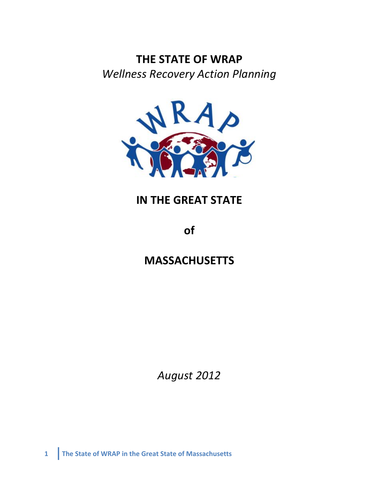# **THE STATE OF WRAP** *Wellness&Recovery&Action&Planning*



# **IN THE GREAT STATE**

**of**

# **MASSACHUSETTS**

*August&2012*

**1 The State of WRAP in the Great State of Massachusetts**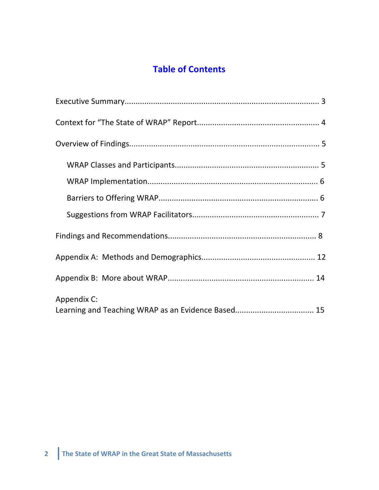# **Table of Contents**

| Appendix C:<br>Learning and Teaching WRAP as an Evidence Based 15 |
|-------------------------------------------------------------------|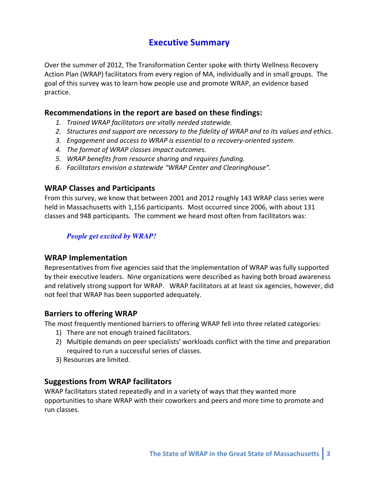# **Executive Summary**

Over the summer of 2012, The Transformation Center spoke with thirty Wellness Recovery Action Plan (WRAP) facilitators from every region of MA, individually and in small groups. The goal of this survey was to learn how people use and promote WRAP, an evidence based practice.

#### Recommendations in the report are based on these findings:

- 1. Trained WRAP facilitators are vitally needed statewide.
- 2. Structures and support are necessary to the fidelity of WRAP and to its values and ethics.
- 3. Engagement and access to WRAP is essential to a recovery-oriented system.
- 4. The format of WRAP classes impact outcomes.
- 5. WRAP benefits from resource sharing and requires funding.
- 6. Facilitators envision a statewide "WRAP Center and Clearinghouse".

# **WRAP Classes and Participants**

From this survey, we know that between 2001 and 2012 roughly 143 WRAP class series were held in Massachusetts with 1,156 participants. Most occurred since 2006, with about 131 classes and 948 participants. The comment we heard most often from facilitators was:

## *People get excited by WRAP!*

## **WRAP Implementation**

Representatives from five agencies said that the implementation of WRAP was fully supported by their executive leaders. Nine organizations were described as having both broad awareness and relatively strong support for WRAP. WRAP facilitators at at least six agencies, however, did not feel that WRAP has been supported adequately.

## **Barriers to offering WRAP**

The most frequently mentioned barriers to offering WRAP fell into three related categories:

- 1) There are not enough trained facilitators.
- 2) Multiple demands on peer specialists' workloads conflict with the time and preparation required to run a successful series of classes.
- 3) Resources are limited.

# **Suggestions from WRAP facilitators**

WRAP facilitators stated repeatedly and in a variety of ways that they wanted more opportunities to share WRAP with their coworkers and peers and more time to promote and run classes.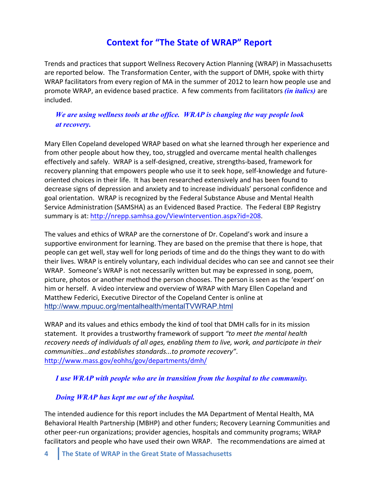# **Context for "The State of WRAP" Report**

Trends and practices that support Wellness Recovery Action Planning (WRAP) in Massachusetts are reported below. The Transformation Center, with the support of DMH, spoke with thirty WRAP facilitators from every region of MA in the summer of 2012 to learn how people use and promote WRAP, an evidence based practice. A few comments from facilitators *(in italics)* are included.

## *We are using wellness tools at the office. WRAP is changing the way people look at recovery.*

Mary Ellen Copeland developed WRAP based on what she learned through her experience and from other people about how they, too, struggled and overcame mental health challenges effectively and safely. WRAP is a self-designed, creative, strengths-based, framework for recovery planning that empowers people who use it to seek hope, self-knowledge and futureoriented choices in their life. It has been researched extensively and has been found to decrease signs of depression and anxiety and to increase individuals' personal confidence and goal orientation. WRAP is recognized by the Federal Substance Abuse and Mental Health Service Administration (SAMSHA) as an Evidenced Based Practice. The Federal EBP Registry summary is at: http://nrepp.samhsa.gov/ViewIntervention.aspx?id=208.

The values and ethics of WRAP are the cornerstone of Dr. Copeland's work and insure a supportive environment for learning. They are based on the premise that there is hope, that people can get well, stay well for long periods of time and do the things they want to do with their lives. WRAP is entirely voluntary, each individual decides who can see and cannot see their WRAP. Someone's WRAP is not necessarily written but may be expressed in song, poem, picture, photos or another method the person chooses. The person is seen as the 'expert' on him or herself. A video interview and overview of WRAP with Mary Ellen Copeland and Matthew Federici, Executive Director of the Copeland Center is online at http://www.mpuuc.org/mentalhealth/mentalTVWRAP.html

WRAP and its values and ethics embody the kind of tool that DMH calls for in its mission statement. It provides a trustworthy framework of support "to meet the mental health recovery needs of individuals of all ages, enabling them to live, work, and participate in their *communities...and establishes standards...to promote recovery".* http://www.mass.gov/eohhs/gov/departments/dmh/

#### *I use WRAP with people who are in transition from the hospital to the community.*

#### *Doing WRAP has kept me out of the hospital.*

The intended audience for this report includes the MA Department of Mental Health, MA Behavioral Health Partnership (MBHP) and other funders; Recovery Learning Communities and other peer-run organizations; provider agencies, hospitals and community programs; WRAP facilitators and people who have used their own WRAP. The recommendations are aimed at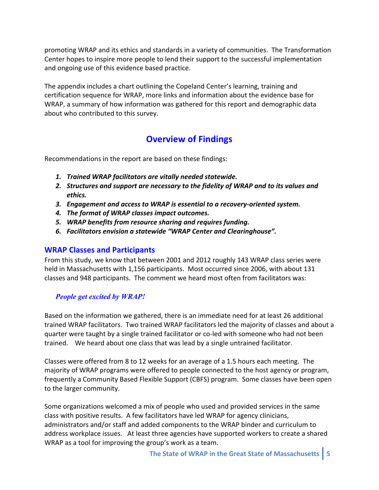promoting WRAP and its ethics and standards in a variety of communities. The Transformation Center hopes to inspire more people to lend their support to the successful implementation and ongoing use of this evidence based practice.

The appendix includes a chart outlining the Copeland Center's learning, training and certification sequence for WRAP, more links and information about the evidence base for WRAP, a summary of how information was gathered for this report and demographic data about who contributed to this survey.

# **Overview of Findings**

Recommendations in the report are based on these findings:

- 1. Trained WRAP facilitators are vitally needed statewide.
- 2. Structures and support are necessary to the fidelity of WRAP and to its values and *ethics.*
- 3. Engagement and access to WRAP is essential to a recovery-oriented system.
- 4. The format of WRAP classes impact outcomes.
- *5. WRAP\*benefits\*from\*resource\*sharing and\*requires\*funding.*
- 6. Facilitators envision a statewide "WRAP Center and Clearinghouse".

#### **WRAP Classes and Participants**

From this study, we know that between 2001 and 2012 roughly 143 WRAP class series were held in Massachusetts with 1,156 participants. Most occurred since 2006, with about 131 classes and 948 participants. The comment we heard most often from facilitators was:

#### *People get excited by WRAP!*

Based on the information we gathered, there is an immediate need for at least 26 additional trained WRAP facilitators. Two trained WRAP facilitators led the majority of classes and about a quarter were taught by a single trained facilitator or co-led with someone who had not been trained. We heard about one class that was lead by a single untrained facilitator.

Classes were offered from 8 to 12 weeks for an average of a 1.5 hours each meeting. The majority of WRAP programs were offered to people connected to the host agency or program, frequently a Community Based Flexible Support (CBFS) program. Some classes have been open to the larger community.

Some organizations welcomed a mix of people who used and provided services in the same class with positive results. A few facilitators have led WRAP for agency clinicians, administrators and/or staff and added components to the WRAP binder and curriculum to address workplace issues. At least three agencies have supported workers to create a shared WRAP as a tool for improving the group's work as a team.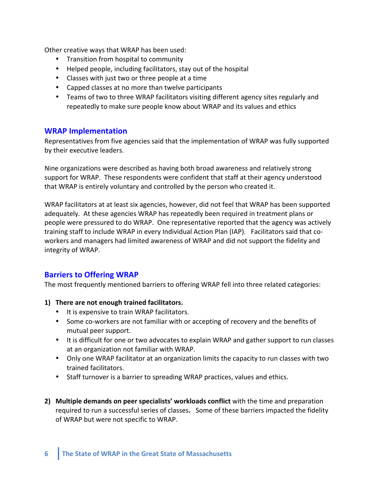Other creative ways that WRAP has been used:

- Transition from hospital to community
- Helped people, including facilitators, stay out of the hospital
- Classes with just two or three people at a time
- Capped classes at no more than twelve participants
- Teams of two to three WRAP facilitators visiting different agency sites regularly and repeatedly to make sure people know about WRAP and its values and ethics

#### **WRAP Implementation**

Representatives from five agencies said that the implementation of WRAP was fully supported by their executive leaders.

Nine organizations were described as having both broad awareness and relatively strong support for WRAP. These respondents were confident that staff at their agency understood that WRAP is entirely voluntary and controlled by the person who created it.

WRAP facilitators at at least six agencies, however, did not feel that WRAP has been supported adequately. At these agencies WRAP has repeatedly been required in treatment plans or people were pressured to do WRAP. One representative reported that the agency was actively training staff to include WRAP in every Individual Action Plan (IAP). Facilitators said that coworkers and managers had limited awareness of WRAP and did not support the fidelity and integrity of WRAP.

#### **Barriers to Offering WRAP**

The most frequently mentioned barriers to offering WRAP fell into three related categories:

#### 1) There are not enough trained facilitators.

- It is expensive to train WRAP facilitators.
- Some co-workers are not familiar with or accepting of recovery and the benefits of mutual peer support.
- It is difficult for one or two advocates to explain WRAP and gather support to run classes at an organization not familiar with WRAP.
- Only one WRAP facilitator at an organization limits the capacity to run classes with two trained facilitators.
- Staff turnover is a barrier to spreading WRAP practices, values and ethics.
- **2) Multiple demands on peer specialists' workloads conflict** with the time and preparation required to run a successful series of classes. Some of these barriers impacted the fidelity of WRAP but were not specific to WRAP.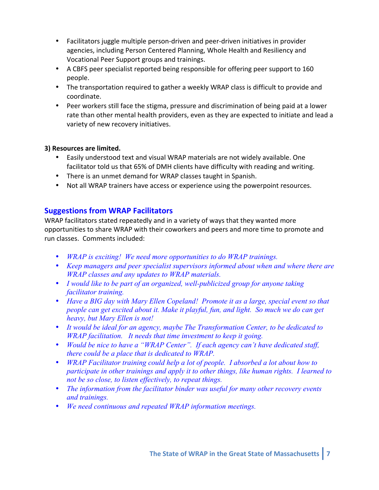- Facilitators juggle multiple person-driven and peer-driven initiatives in provider agencies, including Person Centered Planning, Whole Health and Resiliency and Vocational Peer Support groups and trainings.
- A CBFS peer specialist reported being responsible for offering peer support to 160 people.
- The transportation required to gather a weekly WRAP class is difficult to provide and coordinate.!
- Peer workers still face the stigma, pressure and discrimination of being paid at a lower rate than other mental health providers, even as they are expected to initiate and lead a variety of new recovery initiatives.

#### **3) Resources are limited.**

- Easily understood text and visual WRAP materials are not widely available. One facilitator told us that 65% of DMH clients have difficulty with reading and writing.
- There is an unmet demand for WRAP classes taught in Spanish.
- Not all WRAP trainers have access or experience using the powerpoint resources.

# **Suggestions from WRAP Facilitators**

WRAP facilitators stated repeatedly and in a variety of ways that they wanted more opportunities to share WRAP with their coworkers and peers and more time to promote and run classes. Comments included:

- *WRAP is exciting! We need more opportunities to do WRAP trainings.*
- *Keep managers and peer specialist supervisors informed about when and where there are WRAP classes and any updates to WRAP materials.*
- *I would like to be part of an organized, well-publicized group for anyone taking facilitator training.*
- *Have a BIG day with Mary Ellen Copeland! Promote it as a large, special event so that people can get excited about it. Make it playful, fun, and light. So much we do can get heavy, but Mary Ellen is not!*
- *It would be ideal for an agency, maybe The Transformation Center, to be dedicated to WRAP facilitation. It needs that time investment to keep it going.*
- *Would be nice to have a "WRAP Center". If each agency can't have dedicated staff, there could be a place that is dedicated to WRAP.*
- *WRAP Facilitator training could help a lot of people. I absorbed a lot about how to participate in other trainings and apply it to other things, like human rights. I learned to not be so close, to listen effectively, to repeat things.*
- *The information from the facilitator binder was useful for many other recovery events and trainings.*
- *We need continuous and repeated WRAP information meetings.*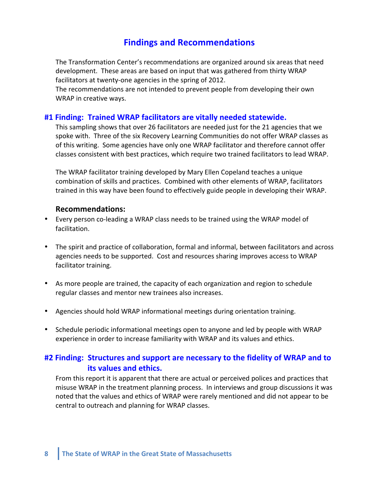# **Findings and"Recommendations**

The Transformation Center's recommendations are organized around six areas that need development. These areas are based on input that was gathered from thirty WRAP facilitators at twenty-one agencies in the spring of 2012.

The recommendations are not intended to prevent people from developing their own WRAP in creative ways.

#### #1 Finding: Trained WRAP facilitators are vitally needed statewide.

This sampling shows that over 26 facilitators are needed just for the 21 agencies that we spoke with. Three of the six Recovery Learning Communities do not offer WRAP classes as of this writing. Some agencies have only one WRAP facilitator and therefore cannot offer classes consistent with best practices, which require two trained facilitators to lead WRAP.

The WRAP facilitator training developed by Mary Ellen Copeland teaches a unique combination of skills and practices. Combined with other elements of WRAP, facilitators trained in this way have been found to effectively guide people in developing their WRAP.

#### **Recommendations:**

- Every person co-leading a WRAP class needs to be trained using the WRAP model of facilitation.
- The spirit and practice of collaboration, formal and informal, between facilitators and across agencies needs to be supported. Cost and resources sharing improves access to WRAP facilitator training.
- As more people are trained, the capacity of each organization and region to schedule regular classes and mentor new trainees also increases.
- Agencies should hold WRAP informational meetings during orientation training.
- Schedule periodic informational meetings open to anyone and led by people with WRAP experience in order to increase familiarity with WRAP and its values and ethics.

# #2 Finding: Structures and support are necessary to the fidelity of WRAP and to **its values and ethics.**

From this report it is apparent that there are actual or perceived polices and practices that misuse WRAP in the treatment planning process. In interviews and group discussions it was noted that the values and ethics of WRAP were rarely mentioned and did not appear to be central to outreach and planning for WRAP classes.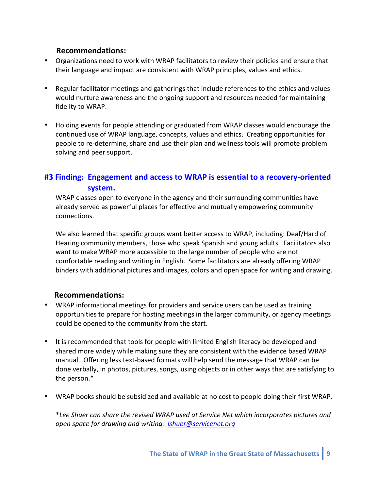## $Recommendations:$

- Organizations need to work with WRAP facilitators to review their policies and ensure that their language and impact are consistent with WRAP principles, values and ethics.
- Regular facilitator meetings and gatherings that include references to the ethics and values would nurture awareness and the ongoing support and resources needed for maintaining fidelity to WRAP.
- Holding events for people attending or graduated from WRAP classes would encourage the continued use of WRAP language, concepts, values and ethics. Creating opportunities for people to re-determine, share and use their plan and wellness tools will promote problem solving and peer support.

# **#3 Finding: Engagement and access to WRAP is essential to a recovery-oriented** system.

WRAP classes open to everyone in the agency and their surrounding communities have already served as powerful places for effective and mutually empowering community connections.!

We also learned that specific groups want better access to WRAP, including: Deaf/Hard of Hearing community members, those who speak Spanish and young adults. Facilitators also want to make WRAP more accessible to the large number of people who are not comfortable reading and writing in English. Some facilitators are already offering WRAP binders with additional pictures and images, colors and open space for writing and drawing.

## $Recommendations:$

- WRAP informational meetings for providers and service users can be used as training opportunities to prepare for hosting meetings in the larger community, or agency meetings could be opened to the community from the start.
- It is recommended that tools for people with limited English literacy be developed and shared more widely while making sure they are consistent with the evidence based WRAP manual. Offering less text-based formats will help send the message that WRAP can be done verbally, in photos, pictures, songs, using objects or in other ways that are satisfying to the person.\*
- WRAP books should be subsidized and available at no cost to people doing their first WRAP.

\*Lee Shuer can share the revised WRAP used at Service Net which incorporates pictures and open space for drawing and writing. *<u>Ishuer@servicenet.org</u>*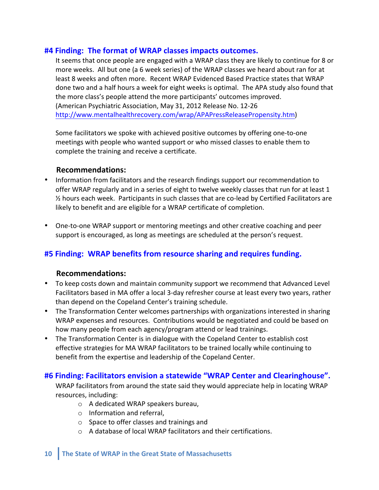#### **#4 Finding: The format of WRAP classes impacts outcomes.**

It seems that once people are engaged with a WRAP class they are likely to continue for 8 or more weeks. All but one (a 6 week series) of the WRAP classes we heard about ran for at least 8 weeks and often more. Recent WRAP Evidenced Based Practice states that WRAP done two and a half hours a week for eight weeks is optimal. The APA study also found that the more class's people attend the more participants' outcomes improved. (American Psychiatric Association, May 31, 2012 Release No. 12-26 http://www.mentalhealthrecovery.com/wrap/APAPressReleasePropensity.htm)

Some facilitators we spoke with achieved positive outcomes by offering one-to-one meetings with people who wanted support or who missed classes to enable them to complete the training and receive a certificate.

#### $Recommendations:$

- Information from facilitators and the research findings support our recommendation to offer WRAP regularly and in a series of eight to twelve weekly classes that run for at least 1  $\frac{1}{2}$  hours each week. Participants in such classes that are co-lead by Certified Facilitators are likely to benefit and are eligible for a WRAP certificate of completion.
- One-to-one WRAP support or mentoring meetings and other creative coaching and peer support is encouraged, as long as meetings are scheduled at the person's request.

## **#5"Finding:""WRAP benefits"from"resource"sharing and"requires"funding.**

#### $Recommendations:$

- To keep costs down and maintain community support we recommend that Advanced Level Facilitators based in MA offer a local 3-day refresher course at least every two years, rather than depend on the Copeland Center's training schedule.
- The Transformation Center welcomes partnerships with organizations interested in sharing WRAP expenses and resources. Contributions would be negotiated and could be based on how many people from each agency/program attend or lead trainings.
- The Transformation Center is in dialogue with the Copeland Center to establish cost effective strategies for MA WRAP facilitators to be trained locally while continuing to benefit from the expertise and leadership of the Copeland Center.

#### **#6 Finding: Facilitators envision a statewide "WRAP Center and Clearinghouse".**

WRAP facilitators from around the state said they would appreciate help in locating WRAP resources, including:

- $\circ$  A dedicated WRAP speakers bureau,
- $\circ$  Information and referral,
- $\circ$  Space to offer classes and trainings and
- $\circ$  A database of local WRAP facilitators and their certifications.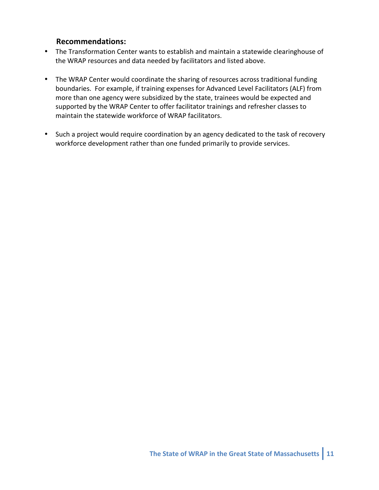#### $Recommendations:$

- The Transformation Center wants to establish and maintain a statewide clearinghouse of the WRAP resources and data needed by facilitators and listed above.
- The WRAP Center would coordinate the sharing of resources across traditional funding boundaries. For example, if training expenses for Advanced Level Facilitators (ALF) from more than one agency were subsidized by the state, trainees would be expected and supported by the WRAP Center to offer facilitator trainings and refresher classes to maintain the statewide workforce of WRAP facilitators.
- Such a project would require coordination by an agency dedicated to the task of recovery workforce development rather than one funded primarily to provide services.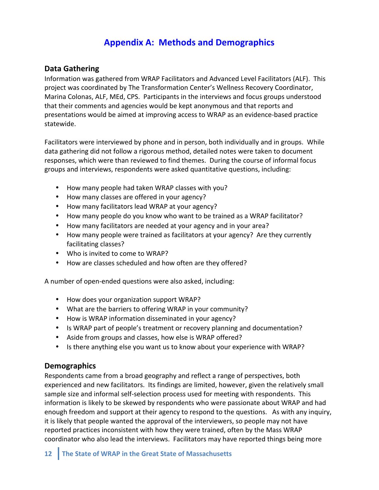# **Appendix A: Methods and Demographics**

### **Data Gathering**

Information was gathered from WRAP Facilitators and Advanced Level Facilitators (ALF). This project was coordinated by The Transformation Center's Wellness Recovery Coordinator, Marina Colonas, ALF, MEd, CPS. Participants in the interviews and focus groups understood that their comments and agencies would be kept anonymous and that reports and presentations would be aimed at improving access to WRAP as an evidence-based practice statewide.

Facilitators were interviewed by phone and in person, both individually and in groups. While data gathering did not follow a rigorous method, detailed notes were taken to document responses, which were than reviewed to find themes. During the course of informal focus groups and interviews, respondents were asked quantitative questions, including:

- How many people had taken WRAP classes with you?
- How many classes are offered in your agency?
- How many facilitators lead WRAP at your agency?
- How many people do you know who want to be trained as a WRAP facilitator?
- How many facilitators are needed at your agency and in your area?
- How many people were trained as facilitators at your agency? Are they currently facilitating classes?
- Who is invited to come to WRAP?
- How are classes scheduled and how often are they offered?

A number of open-ended questions were also asked, including:

- How does your organization support WRAP?
- What are the barriers to offering WRAP in your community?
- How is WRAP information disseminated in your agency?
- Is WRAP part of people's treatment or recovery planning and documentation?
- Aside from groups and classes, how else is WRAP offered?
- Is there anything else you want us to know about your experience with WRAP?

#### **Demographics**

Respondents came from a broad geography and reflect a range of perspectives, both experienced and new facilitators. Its findings are limited, however, given the relatively small sample size and informal self-selection process used for meeting with respondents. This information is likely to be skewed by respondents who were passionate about WRAP and had enough freedom and support at their agency to respond to the questions. As with any inquiry, it is likely that people wanted the approval of the interviewers, so people may not have reported practices inconsistent with how they were trained, often by the Mass WRAP coordinator who also lead the interviews. Facilitators may have reported things being more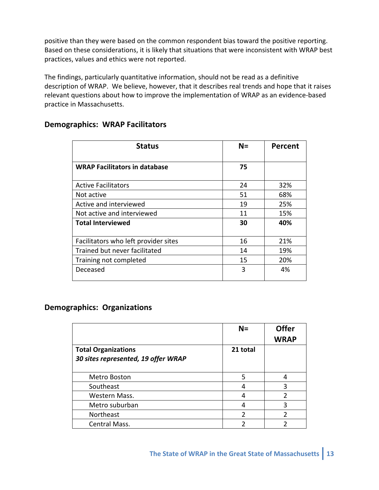positive than they were based on the common respondent bias toward the positive reporting. Based on these considerations, it is likely that situations that were inconsistent with WRAP best practices, values and ethics were not reported.

The findings, particularly quantitative information, should not be read as a definitive description of WRAP. We believe, however, that it describes real trends and hope that it raises relevant questions about how to improve the implementation of WRAP as an evidence-based practice in Massachusetts.

| <b>Status</b>                        | $N =$ | Percent |
|--------------------------------------|-------|---------|
| <b>WRAP Facilitators in database</b> | 75    |         |
| <b>Active Facilitators</b>           | 24    | 32%     |
| Not active                           | 51    | 68%     |
| Active and interviewed               | 19    | 25%     |
| Not active and interviewed           | 11    | 15%     |
| <b>Total Interviewed</b>             | 30    | 40%     |
| Facilitators who left provider sites | 16    | 21%     |
| Trained but never facilitated        | 14    | 19%     |
| Training not completed               | 15    | 20%     |
| Deceased                             | 3     | 4%      |

#### **Demographics: WRAP Facilitators**

## **Demographics: Organizations**

|                                                                   | $N =$          | <b>Offer</b><br><b>WRAP</b> |
|-------------------------------------------------------------------|----------------|-----------------------------|
| <b>Total Organizations</b><br>30 sites represented, 19 offer WRAP | 21 total       |                             |
| Metro Boston                                                      | 5              |                             |
| Southeast                                                         | Δ              | ੨                           |
| Western Mass.                                                     | 4              | $\mathfrak z$               |
| Metro suburban                                                    |                | 3                           |
| Northeast                                                         | $\mathfrak{p}$ | າ                           |
| Central Mass.                                                     |                |                             |